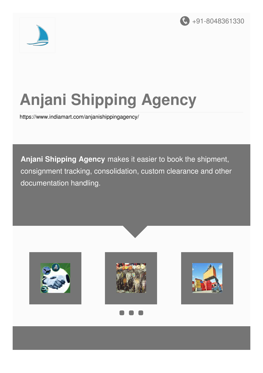



# **Anjani Shipping Agency**

<https://www.indiamart.com/anjanishippingagency/>

**Anjani Shipping Agency** makes it easier to book the shipment, consignment tracking, consolidation, custom clearance and other documentation handling.

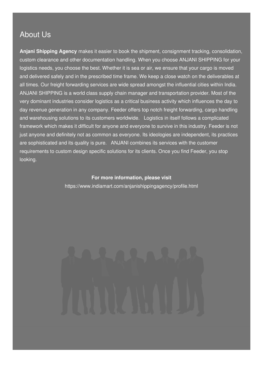#### About Us

**Anjani Shipping Agency** makes it easier to book the shipment, consignment tracking, consolidation, custom clearance and other documentation handling. When you choose ANJANI SHIPPING for your logistics needs, you choose the best. Whether it is sea or air, we ensure that your cargo is moved and delivered safely and in the prescribed time frame. We keep a close watch on the deliverables at all times. Our freight forwarding services are wide spread amongst the influential cities within India. ANJANI SHIPPING is a world class supply chain manager and transportation provider. Most of the very dominant industries consider logistics as a critical business activity which influences the day to day revenue generation in any company. Feeder offers top notch freight forwarding, cargo handling and warehousing solutions to its customers worldwide. Logistics in itself follows a complicated framework which makes it difficult for anyone and everyone to survive in this industry. Feeder is not just anyone and definitely not as common as everyone. Its ideologies are independent, its practices are sophisticated and its quality is pure. ANJANI combines its services with the customer requirements to custom design specific solutions for its clients. Once you find Feeder, you stop looking.

#### **For more information, please visit**

<https://www.indiamart.com/anjanishippingagency/profile.html>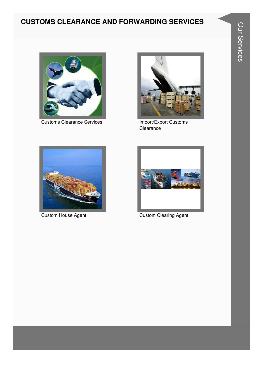#### **CUSTOMS CLEARANCE AND FORWARDING SERVICES**



Customs Clearance Services **Import/Export Customs** 



Clearance





**Custom House Agent Custom Clearing Agent**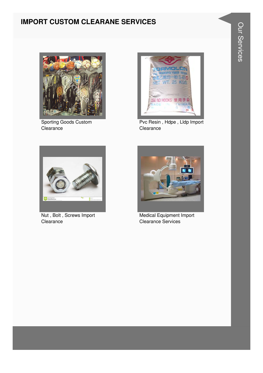#### **IMPORT CUSTOM CLEARANE SERVICES**



Sporting Goods Custom Clearance



Pvc Resin, Hdpe, Lldp Import Clearance



Nut, Bolt, Screws Import Clearance



**Medical Equipment Import Clearance Services**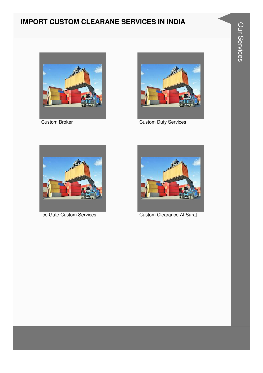#### **IMPORT CUSTOM CLEARANE SERVICES IN INDIA**





Custom Broker **Custom Broker** Custom Duty Services





Ice Gate Custom Services Custom Clearance At Surat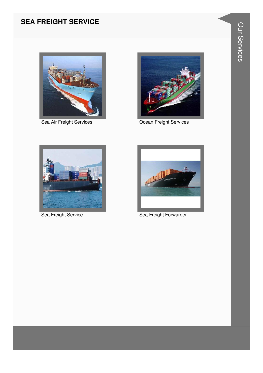#### **SEA FREIGHT SERVICE**



Sea Air Freight Services



Ocean Freight Services



Sea Freight Service



Sea Freight Forwarder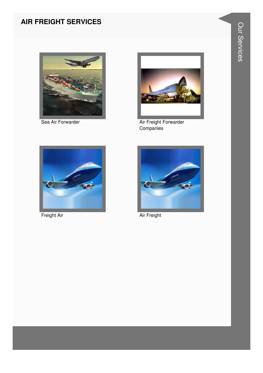### **AIR FREIGHT SERVICES**



Sea Air Forwarder



Air Freight Forwarder<br>Companies



Freight Air



Air Freight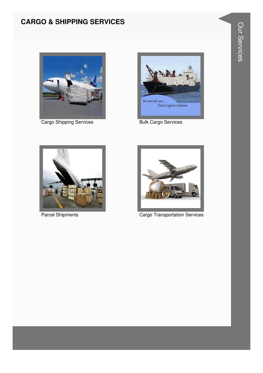#### **CARGO & SHIPPING SERVICES**



Cargo Shipping Services



**Bulk Cargo Services** 



**Parcel Shipments** 



**Cargo Transportation Services**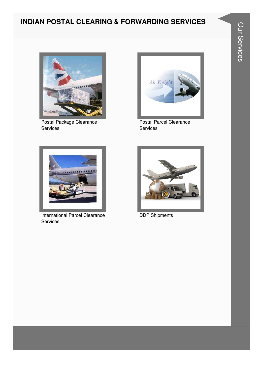#### **INDIAN POSTAL CLEARING & FORWARDING SERVICES**



Postal Package Clearance Services



Postal Parcel Clearance Services



International Parcel Clearance Services



DDP Shipments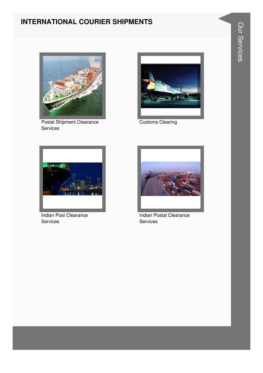#### **INTERNATIONAL COURIER SHIPMENTS**



Postal Shipment Clearance Services



Customs Clearing



Indian Post Clearance Services



Indian Postal Clearance Services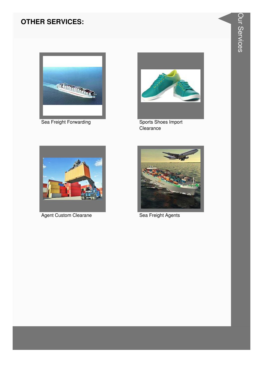#### **OTHER SERVICES:**



Sea Freight Forwarding



Sports Shoes Import Clearance



**Agent Custom Clearane** 



Sea Freight Agents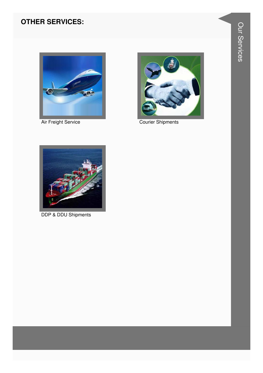#### **OTHER SERVICES:**



Air Freight Service



**Courier Shipments** 



**DDP & DDU Shipments**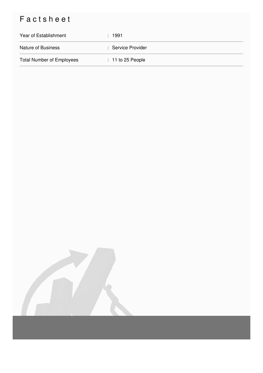## Factsheet

| Year of Establishment            | : 1991              |
|----------------------------------|---------------------|
| <b>Nature of Business</b>        | : Service Provider  |
| <b>Total Number of Employees</b> | $: 11$ to 25 People |